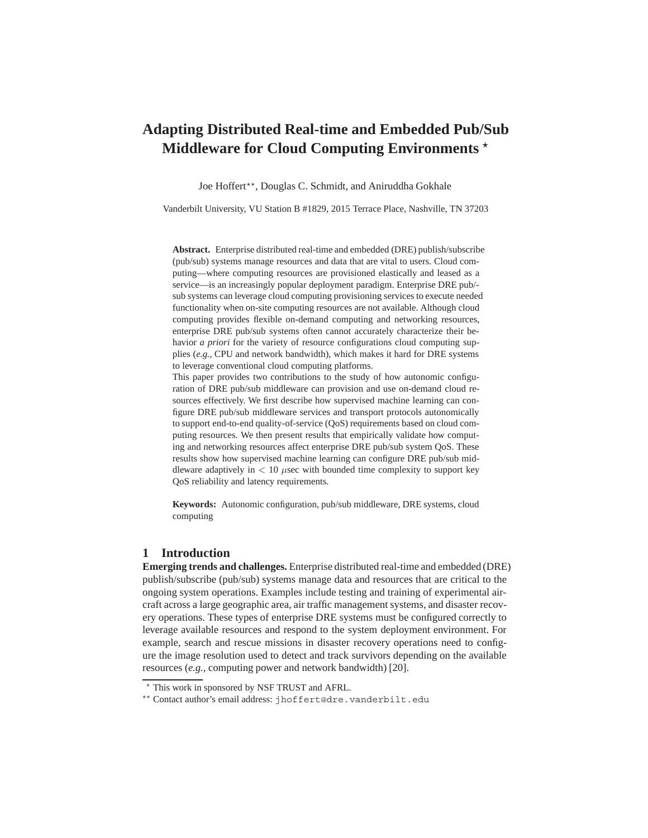# **Adapting Distributed Real-time and Embedded Pub/Sub Middleware for Cloud Computing Environments** *-*

Joe Hoffert<sup>\*\*</sup>, Douglas C. Schmidt, and Aniruddha Gokhale

Vanderbilt University, VU Station B #1829, 2015 Terrace Place, Nashville, TN 37203

**Abstract.** Enterprise distributed real-time and embedded (DRE) publish/subscribe (pub/sub) systems manage resources and data that are vital to users. Cloud computing—where computing resources are provisioned elastically and leased as a service—is an increasingly popular deployment paradigm. Enterprise DRE pub/ sub systems can leverage cloud computing provisioning services to execute needed functionality when on-site computing resources are not available. Although cloud computing provides flexible on-demand computing and networking resources, enterprise DRE pub/sub systems often cannot accurately characterize their behavior *a priori* for the variety of resource configurations cloud computing supplies (*e.g.*, CPU and network bandwidth), which makes it hard for DRE systems to leverage conventional cloud computing platforms.

This paper provides two contributions to the study of how autonomic configuration of DRE pub/sub middleware can provision and use on-demand cloud resources effectively. We first describe how supervised machine learning can configure DRE pub/sub middleware services and transport protocols autonomically to support end-to-end quality-of-service (QoS) requirements based on cloud computing resources. We then present results that empirically validate how computing and networking resources affect enterprise DRE pub/sub system QoS. These results show how supervised machine learning can configure DRE pub/sub middleware adaptively in  $< 10 \mu$ sec with bounded time complexity to support key QoS reliability and latency requirements.

**Keywords:** Autonomic configuration, pub/sub middleware, DRE systems, cloud computing

# **1 Introduction**

**Emerging trends and challenges.** Enterprise distributed real-time and embedded (DRE) publish/subscribe (pub/sub) systems manage data and resources that are critical to the ongoing system operations. Examples include testing and training of experimental aircraft across a large geographic area, air traffic management systems, and disaster recovery operations. These types of enterprise DRE systems must be configured correctly to leverage available resources and respond to the system deployment environment. For example, search and rescue missions in disaster recovery operations need to configure the image resolution used to detect and track survivors depending on the available resources (*e.g.*, computing power and network bandwidth) [20].

<sup>-</sup> This work in sponsored by NSF TRUST and AFRL.

<sup>\*\*</sup> Contact author's email address: jhoffert@dre.vanderbilt.edu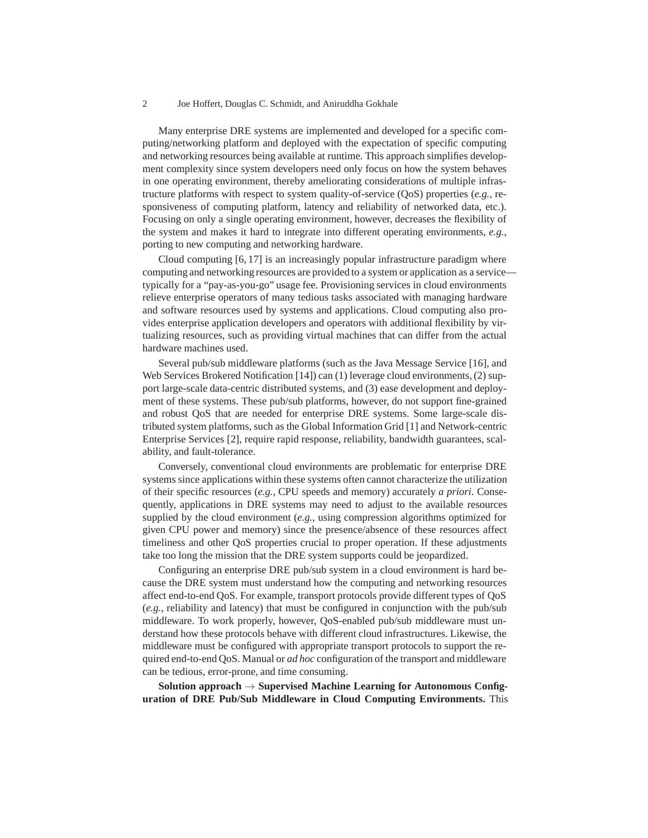Many enterprise DRE systems are implemented and developed for a specific computing/networking platform and deployed with the expectation of specific computing and networking resources being available at runtime. This approach simplifies development complexity since system developers need only focus on how the system behaves in one operating environment, thereby ameliorating considerations of multiple infrastructure platforms with respect to system quality-of-service (QoS) properties (*e.g.*, responsiveness of computing platform, latency and reliability of networked data, etc.). Focusing on only a single operating environment, however, decreases the flexibility of the system and makes it hard to integrate into different operating environments, *e.g.*, porting to new computing and networking hardware.

Cloud computing [6, 17] is an increasingly popular infrastructure paradigm where computing and networking resources are provided to a system or application as a service typically for a "pay-as-you-go" usage fee. Provisioning services in cloud environments relieve enterprise operators of many tedious tasks associated with managing hardware and software resources used by systems and applications. Cloud computing also provides enterprise application developers and operators with additional flexibility by virtualizing resources, such as providing virtual machines that can differ from the actual hardware machines used.

Several pub/sub middleware platforms (such as the Java Message Service [16], and Web Services Brokered Notification [14]) can (1) leverage cloud environments, (2) support large-scale data-centric distributed systems, and (3) ease development and deployment of these systems. These pub/sub platforms, however, do not support fine-grained and robust QoS that are needed for enterprise DRE systems. Some large-scale distributed system platforms, such as the Global Information Grid [1] and Network-centric Enterprise Services [2], require rapid response, reliability, bandwidth guarantees, scalability, and fault-tolerance.

Conversely, conventional cloud environments are problematic for enterprise DRE systems since applications within these systems often cannot characterize the utilization of their specific resources (*e.g.*, CPU speeds and memory) accurately *a priori*. Consequently, applications in DRE systems may need to adjust to the available resources supplied by the cloud environment (*e.g.*, using compression algorithms optimized for given CPU power and memory) since the presence/absence of these resources affect timeliness and other QoS properties crucial to proper operation. If these adjustments take too long the mission that the DRE system supports could be jeopardized.

Configuring an enterprise DRE pub/sub system in a cloud environment is hard because the DRE system must understand how the computing and networking resources affect end-to-end QoS. For example, transport protocols provide different types of QoS (*e.g.*, reliability and latency) that must be configured in conjunction with the pub/sub middleware. To work properly, however, QoS-enabled pub/sub middleware must understand how these protocols behave with different cloud infrastructures. Likewise, the middleware must be configured with appropriate transport protocols to support the required end-to-end QoS. Manual or *ad hoc* configuration of the transport and middleware can be tedious, error-prone, and time consuming.

**Solution approach** → **Supervised Machine Learning for Autonomous Configuration of DRE Pub/Sub Middleware in Cloud Computing Environments.** This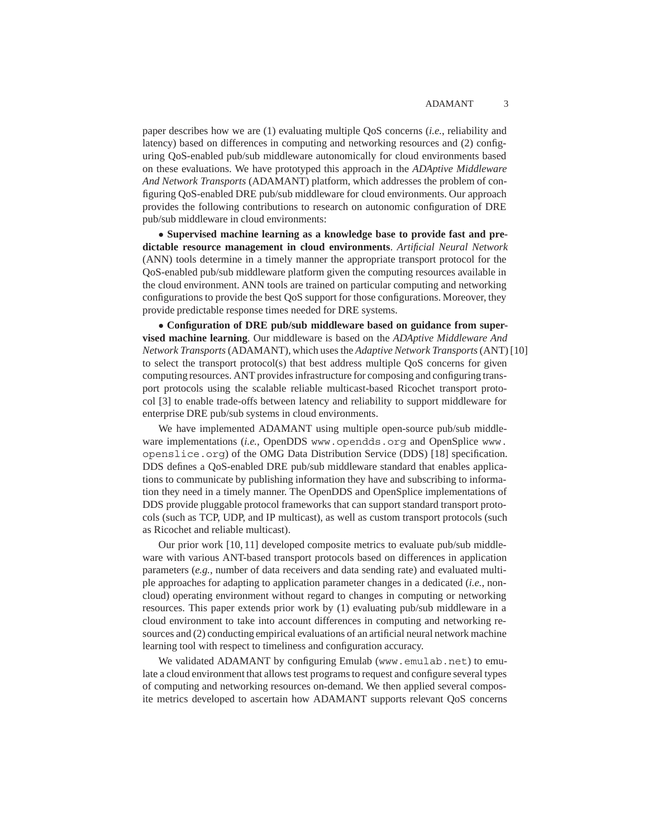paper describes how we are (1) evaluating multiple QoS concerns (*i.e.*, reliability and latency) based on differences in computing and networking resources and (2) configuring QoS-enabled pub/sub middleware autonomically for cloud environments based on these evaluations. We have prototyped this approach in the *ADAptive Middleware And Network Transports* (ADAMANT) platform, which addresses the problem of configuring QoS-enabled DRE pub/sub middleware for cloud environments. Our approach provides the following contributions to research on autonomic configuration of DRE pub/sub middleware in cloud environments:

• **Supervised machine learning as a knowledge base to provide fast and predictable resource management in cloud environments**. *Artificial Neural Network* (ANN) tools determine in a timely manner the appropriate transport protocol for the QoS-enabled pub/sub middleware platform given the computing resources available in the cloud environment. ANN tools are trained on particular computing and networking configurations to provide the best QoS support for those configurations. Moreover, they provide predictable response times needed for DRE systems.

• **Configuration of DRE pub/sub middleware based on guidance from supervised machine learning**. Our middleware is based on the *ADAptive Middleware And Network Transports*(ADAMANT), which uses the *Adaptive Network Transports*(ANT) [10] to select the transport protocol(s) that best address multiple QoS concerns for given computing resources. ANT provides infrastructure for composing and configuring transport protocols using the scalable reliable multicast-based Ricochet transport protocol [3] to enable trade-offs between latency and reliability to support middleware for enterprise DRE pub/sub systems in cloud environments.

We have implemented ADAMANT using multiple open-source pub/sub middleware implementations (*i.e.*, OpenDDS www.opendds.org and OpenSplice www. openslice.org) of the OMG Data Distribution Service (DDS) [18] specification. DDS defines a QoS-enabled DRE pub/sub middleware standard that enables applications to communicate by publishing information they have and subscribing to information they need in a timely manner. The OpenDDS and OpenSplice implementations of DDS provide pluggable protocol frameworks that can support standard transport protocols (such as TCP, UDP, and IP multicast), as well as custom transport protocols (such as Ricochet and reliable multicast).

Our prior work [10, 11] developed composite metrics to evaluate pub/sub middleware with various ANT-based transport protocols based on differences in application parameters (*e.g.*, number of data receivers and data sending rate) and evaluated multiple approaches for adapting to application parameter changes in a dedicated (*i.e.*, noncloud) operating environment without regard to changes in computing or networking resources. This paper extends prior work by (1) evaluating pub/sub middleware in a cloud environment to take into account differences in computing and networking resources and (2) conducting empirical evaluations of an artificial neural network machine learning tool with respect to timeliness and configuration accuracy.

We validated ADAMANT by configuring Emulab (www.emulab.net) to emulate a cloud environment that allows test programs to request and configure several types of computing and networking resources on-demand. We then applied several composite metrics developed to ascertain how ADAMANT supports relevant QoS concerns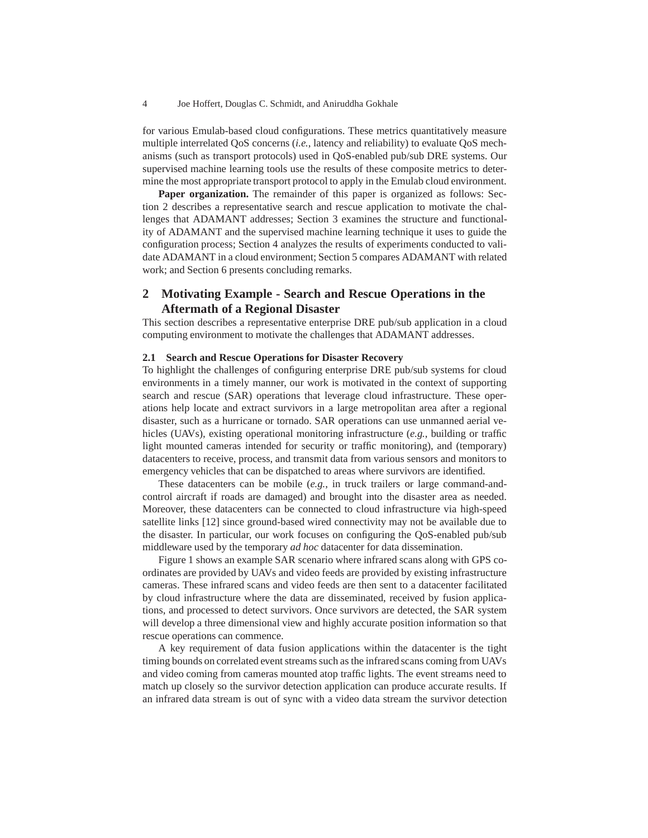for various Emulab-based cloud configurations. These metrics quantitatively measure multiple interrelated QoS concerns (*i.e.*, latency and reliability) to evaluate QoS mechanisms (such as transport protocols) used in QoS-enabled pub/sub DRE systems. Our supervised machine learning tools use the results of these composite metrics to determine the most appropriate transport protocol to apply in the Emulab cloud environment.

Paper organization. The remainder of this paper is organized as follows: Section 2 describes a representative search and rescue application to motivate the challenges that ADAMANT addresses; Section 3 examines the structure and functionality of ADAMANT and the supervised machine learning technique it uses to guide the configuration process; Section 4 analyzes the results of experiments conducted to validate ADAMANT in a cloud environment; Section 5 compares ADAMANT with related work; and Section 6 presents concluding remarks.

# **2 Motivating Example - Search and Rescue Operations in the Aftermath of a Regional Disaster**

This section describes a representative enterprise DRE pub/sub application in a cloud computing environment to motivate the challenges that ADAMANT addresses.

## **2.1 Search and Rescue Operations for Disaster Recovery**

To highlight the challenges of configuring enterprise DRE pub/sub systems for cloud environments in a timely manner, our work is motivated in the context of supporting search and rescue (SAR) operations that leverage cloud infrastructure. These operations help locate and extract survivors in a large metropolitan area after a regional disaster, such as a hurricane or tornado. SAR operations can use unmanned aerial vehicles (UAVs), existing operational monitoring infrastructure (*e.g.*, building or traffic light mounted cameras intended for security or traffic monitoring), and (temporary) datacenters to receive, process, and transmit data from various sensors and monitors to emergency vehicles that can be dispatched to areas where survivors are identified.

These datacenters can be mobile (*e.g.*, in truck trailers or large command-andcontrol aircraft if roads are damaged) and brought into the disaster area as needed. Moreover, these datacenters can be connected to cloud infrastructure via high-speed satellite links [12] since ground-based wired connectivity may not be available due to the disaster. In particular, our work focuses on configuring the QoS-enabled pub/sub middleware used by the temporary *ad hoc* datacenter for data dissemination.

Figure 1 shows an example SAR scenario where infrared scans along with GPS coordinates are provided by UAVs and video feeds are provided by existing infrastructure cameras. These infrared scans and video feeds are then sent to a datacenter facilitated by cloud infrastructure where the data are disseminated, received by fusion applications, and processed to detect survivors. Once survivors are detected, the SAR system will develop a three dimensional view and highly accurate position information so that rescue operations can commence.

A key requirement of data fusion applications within the datacenter is the tight timing bounds on correlated event streams such as the infrared scans coming from UAVs and video coming from cameras mounted atop traffic lights. The event streams need to match up closely so the survivor detection application can produce accurate results. If an infrared data stream is out of sync with a video data stream the survivor detection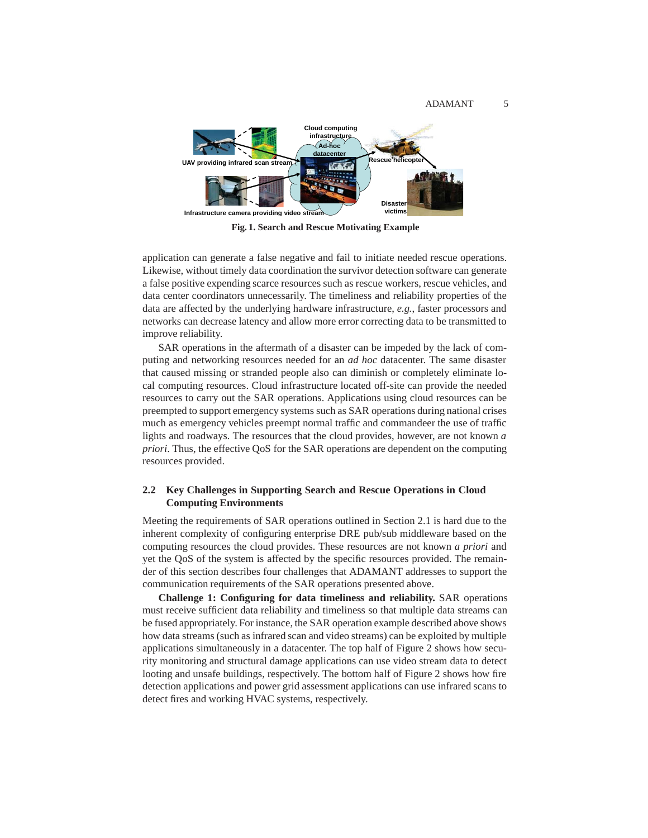

**Fig. 1. Search and Rescue Motivating Example**

application can generate a false negative and fail to initiate needed rescue operations. Likewise, without timely data coordination the survivor detection software can generate a false positive expending scarce resources such as rescue workers, rescue vehicles, and data center coordinators unnecessarily. The timeliness and reliability properties of the data are affected by the underlying hardware infrastructure, *e.g.*, faster processors and networks can decrease latency and allow more error correcting data to be transmitted to improve reliability.

SAR operations in the aftermath of a disaster can be impeded by the lack of computing and networking resources needed for an *ad hoc* datacenter. The same disaster that caused missing or stranded people also can diminish or completely eliminate local computing resources. Cloud infrastructure located off-site can provide the needed resources to carry out the SAR operations. Applications using cloud resources can be preempted to support emergency systems such as SAR operations during national crises much as emergency vehicles preempt normal traffic and commandeer the use of traffic lights and roadways. The resources that the cloud provides, however, are not known *a priori*. Thus, the effective QoS for the SAR operations are dependent on the computing resources provided.

## **2.2 Key Challenges in Supporting Search and Rescue Operations in Cloud Computing Environments**

Meeting the requirements of SAR operations outlined in Section 2.1 is hard due to the inherent complexity of configuring enterprise DRE pub/sub middleware based on the computing resources the cloud provides. These resources are not known *a priori* and yet the QoS of the system is affected by the specific resources provided. The remainder of this section describes four challenges that ADAMANT addresses to support the communication requirements of the SAR operations presented above.

**Challenge 1: Configuring for data timeliness and reliability.** SAR operations must receive sufficient data reliability and timeliness so that multiple data streams can be fused appropriately. For instance, the SAR operation example described above shows how data streams (such as infrared scan and video streams) can be exploited by multiple applications simultaneously in a datacenter. The top half of Figure 2 shows how security monitoring and structural damage applications can use video stream data to detect looting and unsafe buildings, respectively. The bottom half of Figure 2 shows how fire detection applications and power grid assessment applications can use infrared scans to detect fires and working HVAC systems, respectively.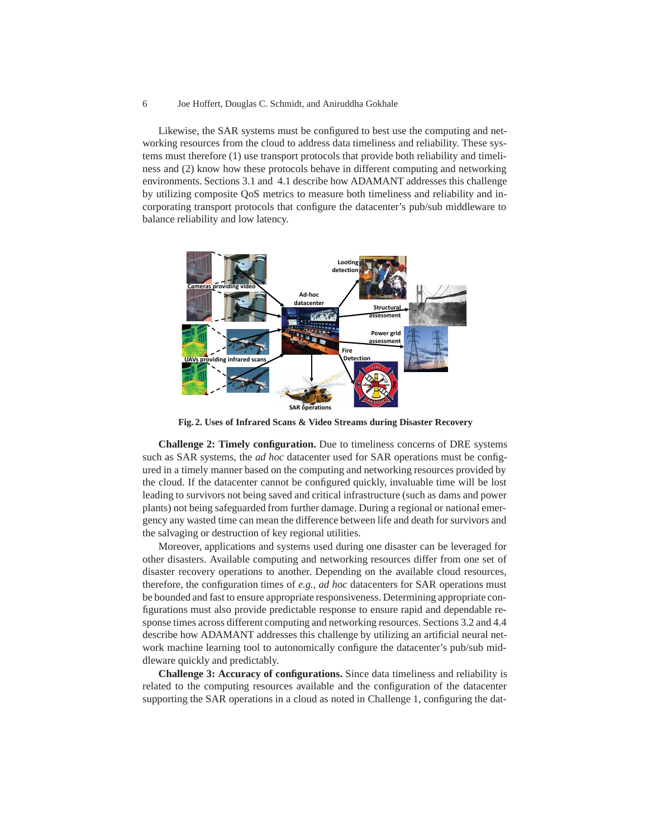Likewise, the SAR systems must be configured to best use the computing and networking resources from the cloud to address data timeliness and reliability. These systems must therefore (1) use transport protocols that provide both reliability and timeliness and (2) know how these protocols behave in different computing and networking environments. Sections 3.1 and 4.1 describe how ADAMANT addresses this challenge by utilizing composite QoS metrics to measure both timeliness and reliability and incorporating transport protocols that configure the datacenter's pub/sub middleware to balance reliability and low latency.



**Fig. 2. Uses of Infrared Scans & Video Streams during Disaster Recovery**

**Challenge 2: Timely configuration.** Due to timeliness concerns of DRE systems such as SAR systems, the *ad hoc* datacenter used for SAR operations must be configured in a timely manner based on the computing and networking resources provided by the cloud. If the datacenter cannot be configured quickly, invaluable time will be lost leading to survivors not being saved and critical infrastructure (such as dams and power plants) not being safeguarded from further damage. During a regional or national emergency any wasted time can mean the difference between life and death for survivors and the salvaging or destruction of key regional utilities.

Moreover, applications and systems used during one disaster can be leveraged for other disasters. Available computing and networking resources differ from one set of disaster recovery operations to another. Depending on the available cloud resources, therefore, the configuration times of *e.g.*, *ad hoc* datacenters for SAR operations must be bounded and fast to ensure appropriate responsiveness. Determining appropriate configurations must also provide predictable response to ensure rapid and dependable response times across different computing and networking resources. Sections 3.2 and 4.4 describe how ADAMANT addresses this challenge by utilizing an artificial neural network machine learning tool to autonomically configure the datacenter's pub/sub middleware quickly and predictably.

**Challenge 3: Accuracy of configurations.** Since data timeliness and reliability is related to the computing resources available and the configuration of the datacenter supporting the SAR operations in a cloud as noted in Challenge 1, configuring the dat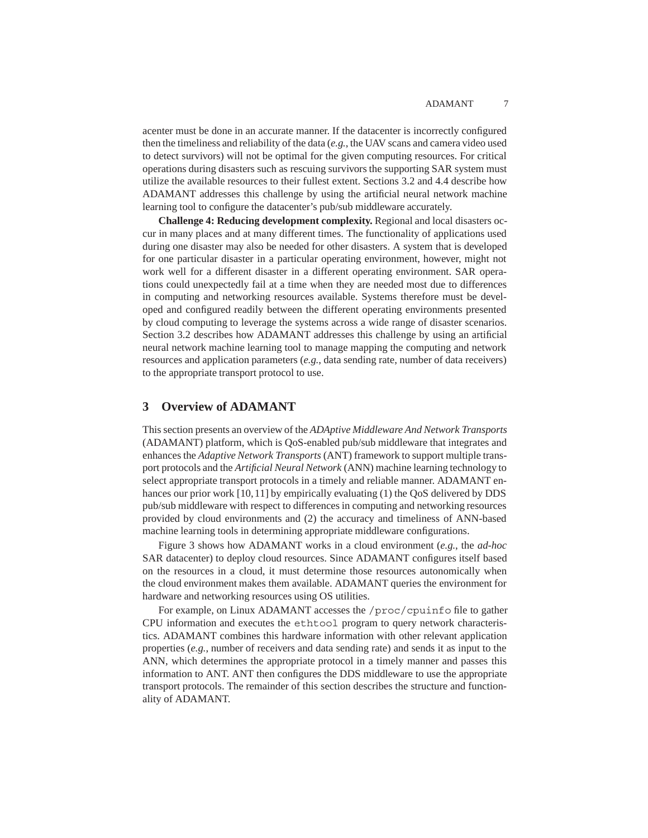acenter must be done in an accurate manner. If the datacenter is incorrectly configured then the timeliness and reliability of the data (*e.g.*, the UAV scans and camera video used to detect survivors) will not be optimal for the given computing resources. For critical operations during disasters such as rescuing survivors the supporting SAR system must utilize the available resources to their fullest extent. Sections 3.2 and 4.4 describe how ADAMANT addresses this challenge by using the artificial neural network machine learning tool to configure the datacenter's pub/sub middleware accurately.

**Challenge 4: Reducing development complexity.** Regional and local disasters occur in many places and at many different times. The functionality of applications used during one disaster may also be needed for other disasters. A system that is developed for one particular disaster in a particular operating environment, however, might not work well for a different disaster in a different operating environment. SAR operations could unexpectedly fail at a time when they are needed most due to differences in computing and networking resources available. Systems therefore must be developed and configured readily between the different operating environments presented by cloud computing to leverage the systems across a wide range of disaster scenarios. Section 3.2 describes how ADAMANT addresses this challenge by using an artificial neural network machine learning tool to manage mapping the computing and network resources and application parameters (*e.g.*, data sending rate, number of data receivers) to the appropriate transport protocol to use.

# **3 Overview of ADAMANT**

This section presents an overview of the *ADAptive Middleware And Network Transports* (ADAMANT) platform, which is QoS-enabled pub/sub middleware that integrates and enhances the *Adaptive Network Transports* (ANT) framework to support multiple transport protocols and the *Artificial Neural Network* (ANN) machine learning technology to select appropriate transport protocols in a timely and reliable manner. ADAMANT enhances our prior work [10,11] by empirically evaluating (1) the QoS delivered by DDS pub/sub middleware with respect to differences in computing and networking resources provided by cloud environments and (2) the accuracy and timeliness of ANN-based machine learning tools in determining appropriate middleware configurations.

Figure 3 shows how ADAMANT works in a cloud environment (*e.g.*, the *ad-hoc* SAR datacenter) to deploy cloud resources. Since ADAMANT configures itself based on the resources in a cloud, it must determine those resources autonomically when the cloud environment makes them available. ADAMANT queries the environment for hardware and networking resources using OS utilities.

For example, on Linux ADAMANT accesses the /proc/cpuinfo file to gather CPU information and executes the ethtool program to query network characteristics. ADAMANT combines this hardware information with other relevant application properties (*e.g.*, number of receivers and data sending rate) and sends it as input to the ANN, which determines the appropriate protocol in a timely manner and passes this information to ANT. ANT then configures the DDS middleware to use the appropriate transport protocols. The remainder of this section describes the structure and functionality of ADAMANT.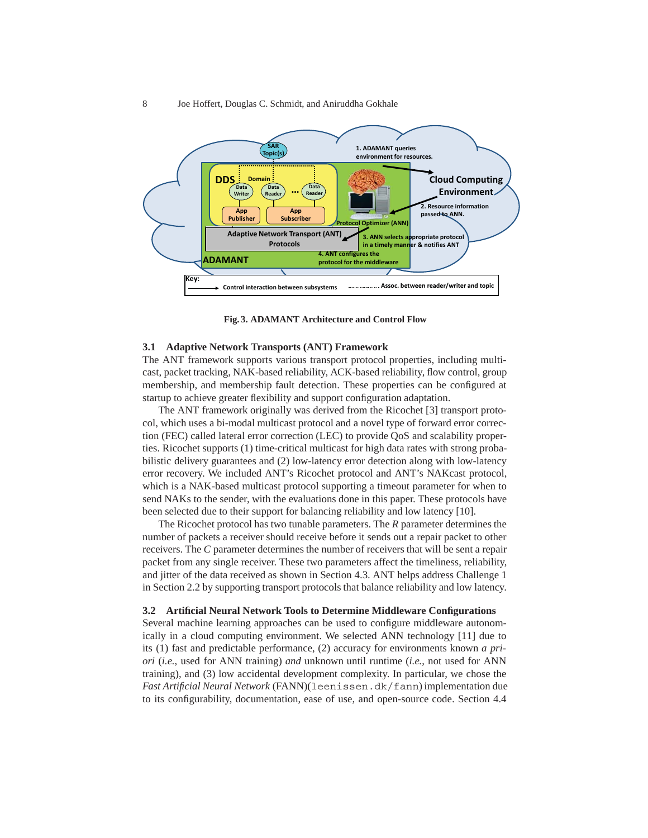

**Fig. 3. ADAMANT Architecture and Control Flow**

#### **3.1 Adaptive Network Transports (ANT) Framework**

The ANT framework supports various transport protocol properties, including multicast, packet tracking, NAK-based reliability, ACK-based reliability, flow control, group membership, and membership fault detection. These properties can be configured at startup to achieve greater flexibility and support configuration adaptation.

The ANT framework originally was derived from the Ricochet [3] transport protocol, which uses a bi-modal multicast protocol and a novel type of forward error correction (FEC) called lateral error correction (LEC) to provide QoS and scalability properties. Ricochet supports (1) time-critical multicast for high data rates with strong probabilistic delivery guarantees and (2) low-latency error detection along with low-latency error recovery. We included ANT's Ricochet protocol and ANT's NAKcast protocol, which is a NAK-based multicast protocol supporting a timeout parameter for when to send NAKs to the sender, with the evaluations done in this paper. These protocols have been selected due to their support for balancing reliability and low latency [10].

The Ricochet protocol has two tunable parameters. The *R* parameter determines the number of packets a receiver should receive before it sends out a repair packet to other receivers. The *C* parameter determines the number of receivers that will be sent a repair packet from any single receiver. These two parameters affect the timeliness, reliability, and jitter of the data received as shown in Section 4.3. ANT helps address Challenge 1 in Section 2.2 by supporting transport protocols that balance reliability and low latency.

#### **3.2 Artificial Neural Network Tools to Determine Middleware Configurations**

Several machine learning approaches can be used to configure middleware autonomically in a cloud computing environment. We selected ANN technology [11] due to its (1) fast and predictable performance, (2) accuracy for environments known *a priori* (*i.e.*, used for ANN training) *and* unknown until runtime (*i.e.*, not used for ANN training), and (3) low accidental development complexity. In particular, we chose the *Fast Artificial Neural Network* (FANN)(leenissen.dk/fann) implementation due to its configurability, documentation, ease of use, and open-source code. Section 4.4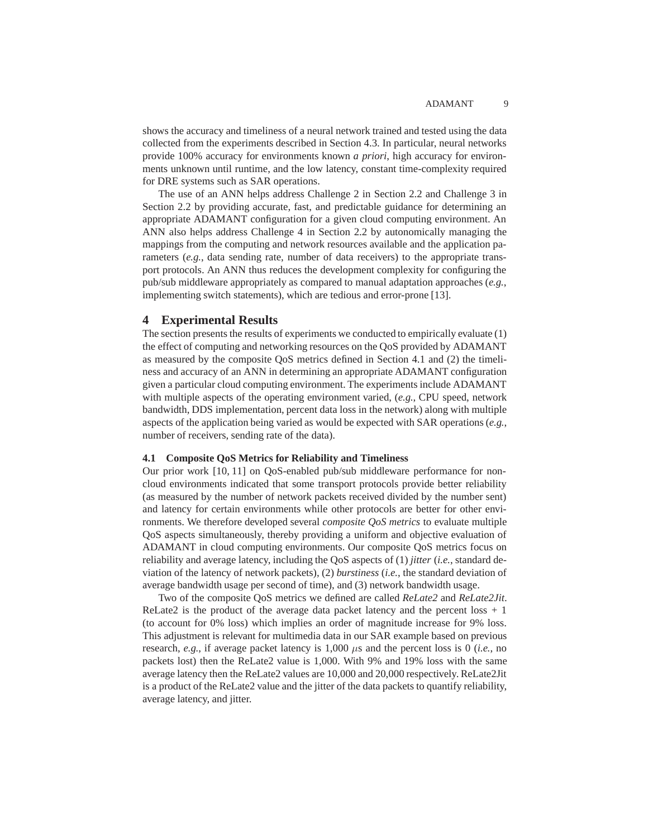shows the accuracy and timeliness of a neural network trained and tested using the data collected from the experiments described in Section 4.3. In particular, neural networks provide 100% accuracy for environments known *a priori*, high accuracy for environments unknown until runtime, and the low latency, constant time-complexity required for DRE systems such as SAR operations.

The use of an ANN helps address Challenge 2 in Section 2.2 and Challenge 3 in Section 2.2 by providing accurate, fast, and predictable guidance for determining an appropriate ADAMANT configuration for a given cloud computing environment. An ANN also helps address Challenge 4 in Section 2.2 by autonomically managing the mappings from the computing and network resources available and the application parameters (*e.g.*, data sending rate, number of data receivers) to the appropriate transport protocols. An ANN thus reduces the development complexity for configuring the pub/sub middleware appropriately as compared to manual adaptation approaches (*e.g.*, implementing switch statements), which are tedious and error-prone [13].

## **4 Experimental Results**

The section presents the results of experiments we conducted to empirically evaluate (1) the effect of computing and networking resources on the QoS provided by ADAMANT as measured by the composite QoS metrics defined in Section 4.1 and (2) the timeliness and accuracy of an ANN in determining an appropriate ADAMANT configuration given a particular cloud computing environment. The experiments include ADAMANT with multiple aspects of the operating environment varied, (*e.g.*, CPU speed, network bandwidth, DDS implementation, percent data loss in the network) along with multiple aspects of the application being varied as would be expected with SAR operations (*e.g.*, number of receivers, sending rate of the data).

## **4.1 Composite QoS Metrics for Reliability and Timeliness**

Our prior work [10, 11] on QoS-enabled pub/sub middleware performance for noncloud environments indicated that some transport protocols provide better reliability (as measured by the number of network packets received divided by the number sent) and latency for certain environments while other protocols are better for other environments. We therefore developed several *composite QoS metrics* to evaluate multiple QoS aspects simultaneously, thereby providing a uniform and objective evaluation of ADAMANT in cloud computing environments. Our composite QoS metrics focus on reliability and average latency, including the QoS aspects of (1) *jitter* (*i.e.*, standard deviation of the latency of network packets), (2) *burstiness* (*i.e.*, the standard deviation of average bandwidth usage per second of time), and (3) network bandwidth usage.

Two of the composite QoS metrics we defined are called *ReLate2* and *ReLate2Jit*. ReLate2 is the product of the average data packet latency and the percent  $loss + 1$ (to account for 0% loss) which implies an order of magnitude increase for 9% loss. This adjustment is relevant for multimedia data in our SAR example based on previous research, *e.g.*, if average packet latency is 1,000 μs and the percent loss is 0 (*i.e.*, no packets lost) then the ReLate2 value is 1,000. With 9% and 19% loss with the same average latency then the ReLate2 values are 10,000 and 20,000 respectively. ReLate2Jit is a product of the ReLate2 value and the jitter of the data packets to quantify reliability, average latency, and jitter.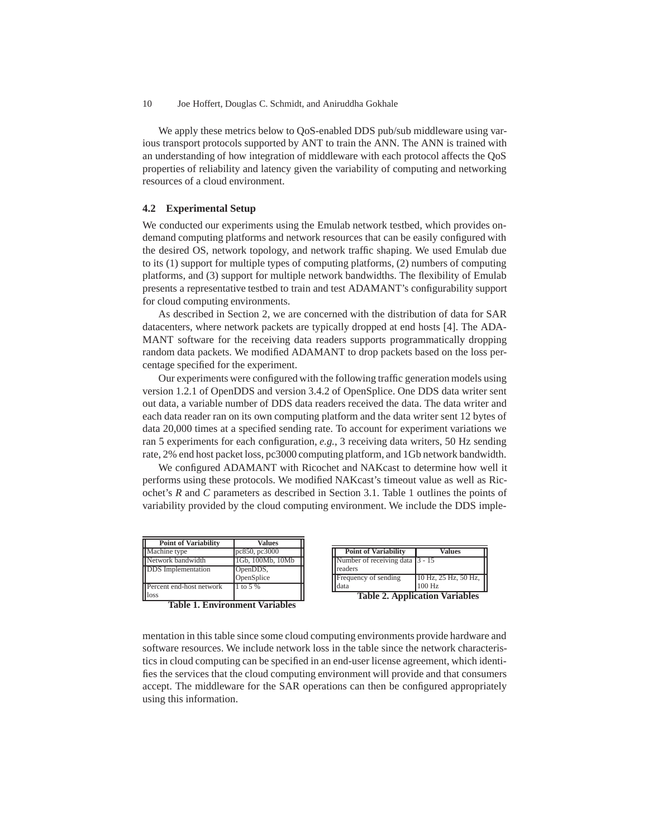We apply these metrics below to QoS-enabled DDS pub/sub middleware using various transport protocols supported by ANT to train the ANN. The ANN is trained with an understanding of how integration of middleware with each protocol affects the QoS properties of reliability and latency given the variability of computing and networking resources of a cloud environment.

## **4.2 Experimental Setup**

We conducted our experiments using the Emulab network testbed, which provides ondemand computing platforms and network resources that can be easily configured with the desired OS, network topology, and network traffic shaping. We used Emulab due to its (1) support for multiple types of computing platforms, (2) numbers of computing platforms, and (3) support for multiple network bandwidths. The flexibility of Emulab presents a representative testbed to train and test ADAMANT's configurability support for cloud computing environments.

As described in Section 2, we are concerned with the distribution of data for SAR datacenters, where network packets are typically dropped at end hosts [4]. The ADA-MANT software for the receiving data readers supports programmatically dropping random data packets. We modified ADAMANT to drop packets based on the loss percentage specified for the experiment.

Our experiments were configured with the following traffic generation models using version 1.2.1 of OpenDDS and version 3.4.2 of OpenSplice. One DDS data writer sent out data, a variable number of DDS data readers received the data. The data writer and each data reader ran on its own computing platform and the data writer sent 12 bytes of data 20,000 times at a specified sending rate. To account for experiment variations we ran 5 experiments for each configuration, *e.g.*, 3 receiving data writers, 50 Hz sending rate, 2% end host packet loss, pc3000 computing platform, and 1Gb network bandwidth.

We configured ADAMANT with Ricochet and NAKcast to determine how well it performs using these protocols. We modified NAKcast's timeout value as well as Ricochet's *R* and *C* parameters as described in Section 3.1. Table 1 outlines the points of variability provided by the cloud computing environment. We include the DDS imple-

| <b>Point of Variability</b>        | <b>Values</b>    |
|------------------------------------|------------------|
| Machine type                       | pc850, pc3000    |
| Network bandwidth                  | 1Gb, 100Mb, 10Mb |
| <b>DDS</b> Implementation          | OpenDDS,         |
|                                    | OpenSplice       |
| Percent end-host network           | 1 to 5 %         |
| <b>loss</b>                        |                  |
| . Environment Variables<br>Table 1 |                  |

| <b>Point of Variability</b>           | <b>Values</b>        |  |
|---------------------------------------|----------------------|--|
| Number of receiving data 3 - 15       |                      |  |
| readers                               |                      |  |
| Frequency of sending                  | 10 Hz, 25 Hz, 50 Hz, |  |
| data                                  | $100$ Hz             |  |
| <b>Table 2. Application Variables</b> |                      |  |

mentation in this table since some cloud computing environments provide hardware and software resources. We include network loss in the table since the network characteristics in cloud computing can be specified in an end-user license agreement, which identifies the services that the cloud computing environment will provide and that consumers accept. The middleware for the SAR operations can then be configured appropriately using this information.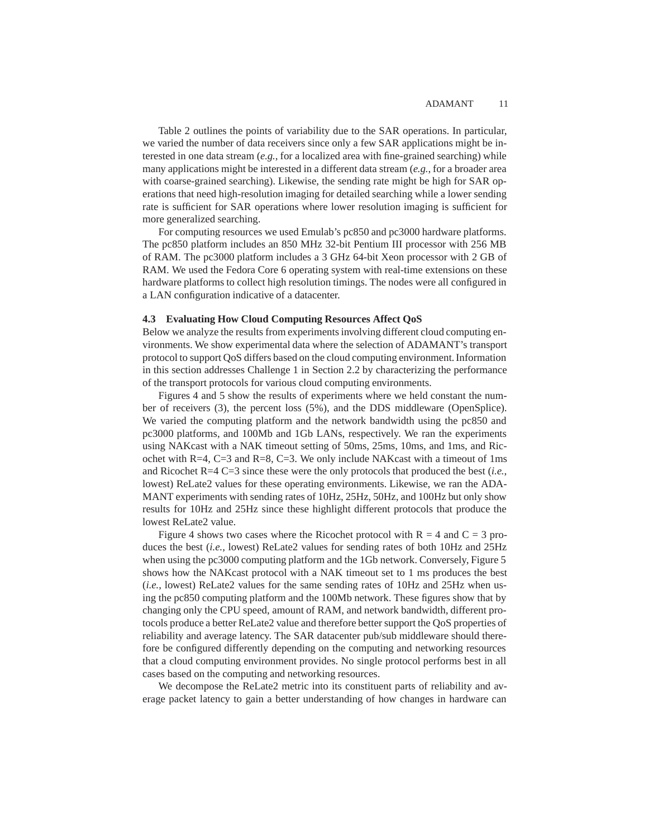Table 2 outlines the points of variability due to the SAR operations. In particular, we varied the number of data receivers since only a few SAR applications might be interested in one data stream (*e.g.*, for a localized area with fine-grained searching) while many applications might be interested in a different data stream (*e.g.*, for a broader area with coarse-grained searching). Likewise, the sending rate might be high for SAR operations that need high-resolution imaging for detailed searching while a lower sending rate is sufficient for SAR operations where lower resolution imaging is sufficient for more generalized searching.

For computing resources we used Emulab's pc850 and pc3000 hardware platforms. The pc850 platform includes an 850 MHz 32-bit Pentium III processor with 256 MB of RAM. The pc3000 platform includes a 3 GHz 64-bit Xeon processor with 2 GB of RAM. We used the Fedora Core 6 operating system with real-time extensions on these hardware platforms to collect high resolution timings. The nodes were all configured in a LAN configuration indicative of a datacenter.

#### **4.3 Evaluating How Cloud Computing Resources Affect QoS**

Below we analyze the results from experiments involving different cloud computing environments. We show experimental data where the selection of ADAMANT's transport protocol to support QoS differs based on the cloud computing environment. Information in this section addresses Challenge 1 in Section 2.2 by characterizing the performance of the transport protocols for various cloud computing environments.

Figures 4 and 5 show the results of experiments where we held constant the number of receivers (3), the percent loss (5%), and the DDS middleware (OpenSplice). We varied the computing platform and the network bandwidth using the pc850 and pc3000 platforms, and 100Mb and 1Gb LANs, respectively. We ran the experiments using NAKcast with a NAK timeout setting of 50ms, 25ms, 10ms, and 1ms, and Ricochet with R=4, C=3 and R=8, C=3. We only include NAKcast with a timeout of 1ms and Ricochet R=4 C=3 since these were the only protocols that produced the best (*i.e.*, lowest) ReLate2 values for these operating environments. Likewise, we ran the ADA-MANT experiments with sending rates of 10Hz, 25Hz, 50Hz, and 100Hz but only show results for 10Hz and 25Hz since these highlight different protocols that produce the lowest ReLate2 value.

Figure 4 shows two cases where the Ricochet protocol with  $R = 4$  and  $C = 3$  produces the best (*i.e.*, lowest) ReLate2 values for sending rates of both 10Hz and 25Hz when using the pc3000 computing platform and the 1Gb network. Conversely, Figure 5 shows how the NAKcast protocol with a NAK timeout set to 1 ms produces the best (*i.e.*, lowest) ReLate2 values for the same sending rates of 10Hz and 25Hz when using the pc850 computing platform and the 100Mb network. These figures show that by changing only the CPU speed, amount of RAM, and network bandwidth, different protocols produce a better ReLate2 value and therefore better support the QoS properties of reliability and average latency. The SAR datacenter pub/sub middleware should therefore be configured differently depending on the computing and networking resources that a cloud computing environment provides. No single protocol performs best in all cases based on the computing and networking resources.

We decompose the ReLate2 metric into its constituent parts of reliability and average packet latency to gain a better understanding of how changes in hardware can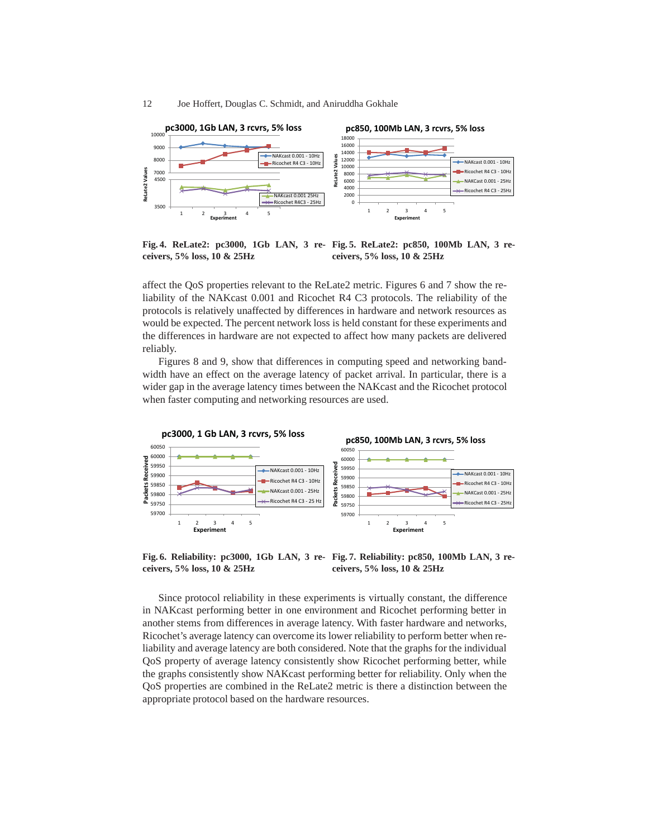

**Fig. 4. ReLate2: pc3000, 1Gb LAN, 3 re-Fig. 5. ReLate2: pc850, 100Mb LAN, 3 receivers, 5% loss, 10 & 25Hz ceivers, 5% loss, 10 & 25Hz**

affect the QoS properties relevant to the ReLate2 metric. Figures 6 and 7 show the reliability of the NAKcast 0.001 and Ricochet R4 C3 protocols. The reliability of the protocols is relatively unaffected by differences in hardware and network resources as would be expected. The percent network loss is held constant for these experiments and the differences in hardware are not expected to affect how many packets are delivered reliably.

Figures 8 and 9, show that differences in computing speed and networking bandwidth have an effect on the average latency of packet arrival. In particular, there is a wider gap in the average latency times between the NAKcast and the Ricochet protocol when faster computing and networking resources are used.



**Fig. 6. Reliability: pc3000, 1Gb LAN, 3 re-Fig. 7. Reliability: pc850, 100Mb LAN, 3 receivers, 5% loss, 10 & 25Hz ceivers, 5% loss, 10 & 25Hz**

Since protocol reliability in these experiments is virtually constant, the difference in NAKcast performing better in one environment and Ricochet performing better in another stems from differences in average latency. With faster hardware and networks, Ricochet's average latency can overcome its lower reliability to perform better when reliability and average latency are both considered. Note that the graphs for the individual QoS property of average latency consistently show Ricochet performing better, while the graphs consistently show NAKcast performing better for reliability. Only when the QoS properties are combined in the ReLate2 metric is there a distinction between the appropriate protocol based on the hardware resources.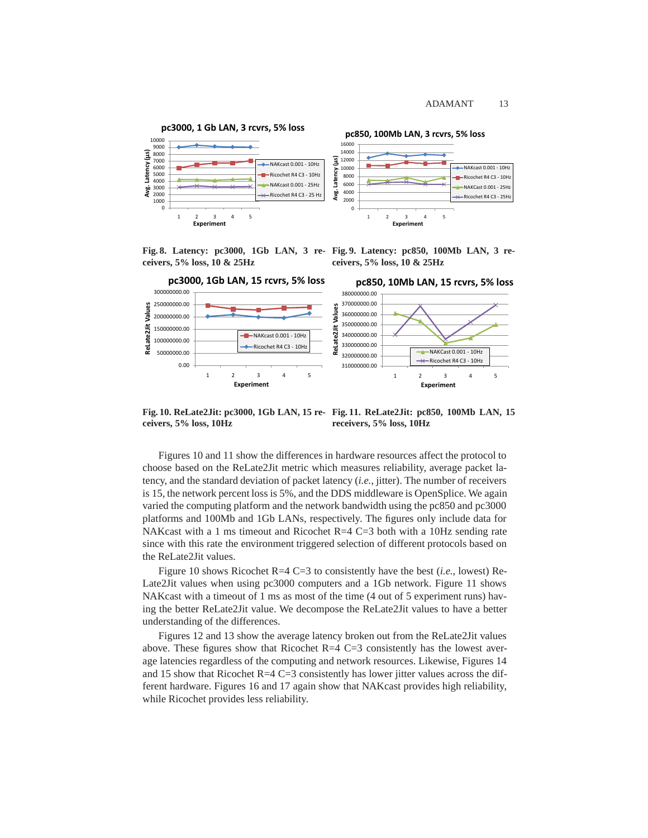

**ceivers, 5% loss, 10 & 25Hz**

**Fig. 8. Latency: pc3000, 1Gb LAN, 3 re-Fig. 9. Latency: pc850, 100Mb LAN, 3 receivers, 5% loss, 10 & 25Hz**



**Fig. 10. ReLate2Jit: pc3000, 1Gb LAN, 15 re-Fig. 11. ReLate2Jit: pc850, 100Mb LAN, 15 ceivers, 5% loss, 10Hz receivers, 5% loss, 10Hz**

Figures 10 and 11 show the differences in hardware resources affect the protocol to choose based on the ReLate2Jit metric which measures reliability, average packet latency, and the standard deviation of packet latency (*i.e.*, jitter). The number of receivers is 15, the network percent loss is 5%, and the DDS middleware is OpenSplice. We again varied the computing platform and the network bandwidth using the pc850 and pc3000 platforms and 100Mb and 1Gb LANs, respectively. The figures only include data for NAKcast with a 1 ms timeout and Ricochet  $R=4$  C=3 both with a 10Hz sending rate since with this rate the environment triggered selection of different protocols based on the ReLate2Jit values.

Figure 10 shows Ricochet R=4 C=3 to consistently have the best (*i.e.*, lowest) Re-Late2Jit values when using pc3000 computers and a 1Gb network. Figure 11 shows NAKcast with a timeout of 1 ms as most of the time (4 out of 5 experiment runs) having the better ReLate2Jit value. We decompose the ReLate2Jit values to have a better understanding of the differences.

Figures 12 and 13 show the average latency broken out from the ReLate2Jit values above. These figures show that Ricochet  $R=4$  C=3 consistently has the lowest average latencies regardless of the computing and network resources. Likewise, Figures 14 and 15 show that Ricochet  $R=4$  C=3 consistently has lower jitter values across the different hardware. Figures 16 and 17 again show that NAKcast provides high reliability, while Ricochet provides less reliability.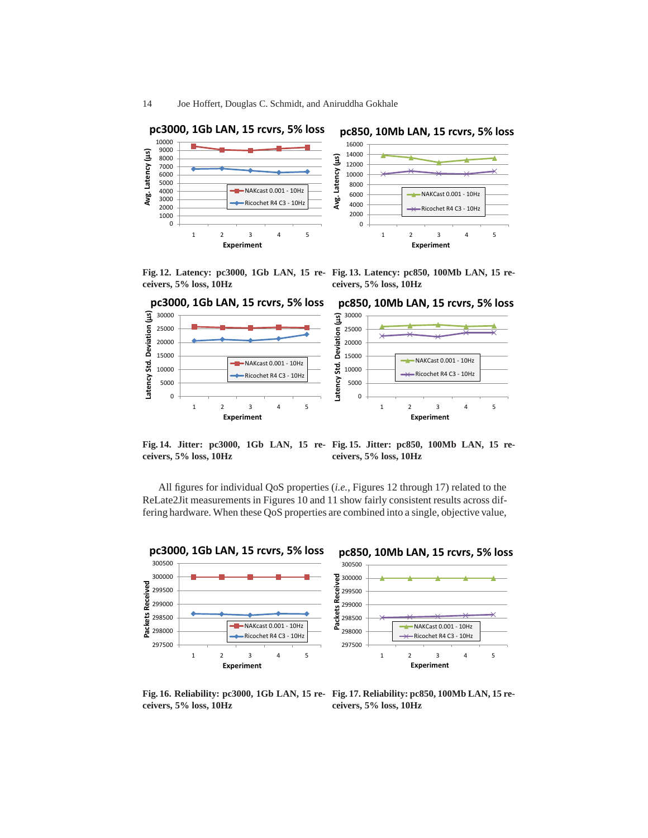

**Fig. 12. Latency: pc3000, 1Gb LAN, 15 re-Fig. 13. Latency: pc850, 100Mb LAN, 15 receivers, 5% loss, 10Hz ceivers, 5% loss, 10Hz**



**Fig. 14. Jitter: pc3000, 1Gb LAN, 15 re-Fig. 15. Jitter: pc850, 100Mb LAN, 15 receivers, 5% loss, 10Hz ceivers, 5% loss, 10Hz**

All figures for individual QoS properties (*i.e.*, Figures 12 through 17) related to the ReLate2Jit measurements in Figures 10 and 11 show fairly consistent results across differing hardware. When these QoS properties are combined into a single, objective value,



**Fig. 16. Reliability: pc3000, 1Gb LAN, 15 re-Fig. 17. Reliability: pc850, 100Mb LAN, 15 receivers, 5% loss, 10Hz ceivers, 5% loss, 10Hz**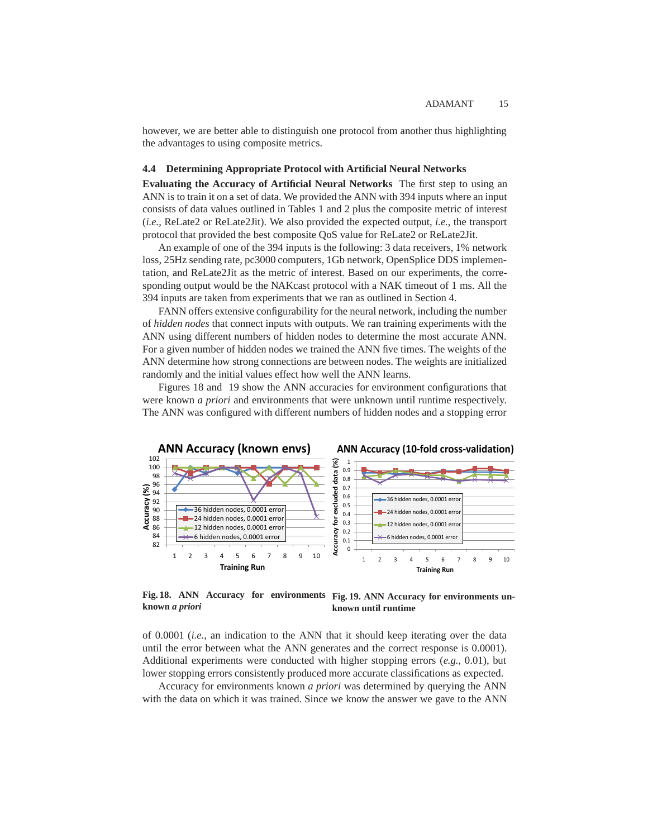however, we are better able to distinguish one protocol from another thus highlighting the advantages to using composite metrics.

## **4.4 Determining Appropriate Protocol with Artificial Neural Networks**

**Evaluating the Accuracy of Artificial Neural Networks** The first step to using an ANN is to train it on a set of data. We provided the ANN with 394 inputs where an input consists of data values outlined in Tables 1 and 2 plus the composite metric of interest (*i.e.*, ReLate2 or ReLate2Jit). We also provided the expected output, *i.e.*, the transport protocol that provided the best composite QoS value for ReLate2 or ReLate2Jit.

An example of one of the 394 inputs is the following: 3 data receivers, 1% network loss, 25Hz sending rate, pc3000 computers, 1Gb network, OpenSplice DDS implementation, and ReLate2Jit as the metric of interest. Based on our experiments, the corresponding output would be the NAKcast protocol with a NAK timeout of 1 ms. All the 394 inputs are taken from experiments that we ran as outlined in Section 4.

FANN offers extensive configurability for the neural network, including the number of *hidden nodes* that connect inputs with outputs. We ran training experiments with the ANN using different numbers of hidden nodes to determine the most accurate ANN. For a given number of hidden nodes we trained the ANN five times. The weights of the ANN determine how strong connections are between nodes. The weights are initialized randomly and the initial values effect how well the ANN learns.

Figures 18 and 19 show the ANN accuracies for environment configurations that were known *a priori* and environments that were unknown until runtime respectively. The ANN was configured with different numbers of hidden nodes and a stopping error



**Fig. 18. ANN Accuracy for environments Fig. 19. ANN Accuracy for environments unknown** *a priori* **known until runtime**

of 0.0001 (*i.e.*, an indication to the ANN that it should keep iterating over the data until the error between what the ANN generates and the correct response is 0.0001). Additional experiments were conducted with higher stopping errors (*e.g.*, 0.01), but lower stopping errors consistently produced more accurate classifications as expected.

Accuracy for environments known *a priori* was determined by querying the ANN with the data on which it was trained. Since we know the answer we gave to the ANN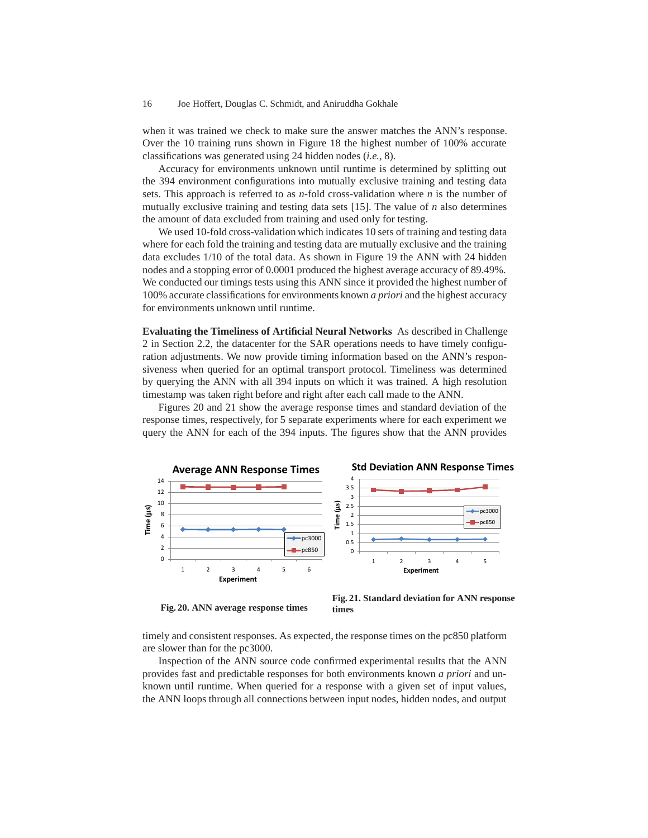when it was trained we check to make sure the answer matches the ANN's response. Over the 10 training runs shown in Figure 18 the highest number of 100% accurate classifications was generated using 24 hidden nodes (*i.e.*, 8).

Accuracy for environments unknown until runtime is determined by splitting out the 394 environment configurations into mutually exclusive training and testing data sets. This approach is referred to as *n*-fold cross-validation where *n* is the number of mutually exclusive training and testing data sets [15]. The value of *n* also determines the amount of data excluded from training and used only for testing.

We used 10-fold cross-validation which indicates 10 sets of training and testing data where for each fold the training and testing data are mutually exclusive and the training data excludes 1/10 of the total data. As shown in Figure 19 the ANN with 24 hidden nodes and a stopping error of 0.0001 produced the highest average accuracy of 89.49%. We conducted our timings tests using this ANN since it provided the highest number of 100% accurate classifications for environments known *a priori* and the highest accuracy for environments unknown until runtime.

**Evaluating the Timeliness of Artificial Neural Networks** As described in Challenge 2 in Section 2.2, the datacenter for the SAR operations needs to have timely configuration adjustments. We now provide timing information based on the ANN's responsiveness when queried for an optimal transport protocol. Timeliness was determined by querying the ANN with all 394 inputs on which it was trained. A high resolution timestamp was taken right before and right after each call made to the ANN.

Figures 20 and 21 show the average response times and standard deviation of the response times, respectively, for 5 separate experiments where for each experiment we query the ANN for each of the 394 inputs. The figures show that the ANN provides



**Fig. 20. ANN average response times**

**Fig. 21. Standard deviation for ANN response times**

timely and consistent responses. As expected, the response times on the pc850 platform are slower than for the pc3000.

Inspection of the ANN source code confirmed experimental results that the ANN provides fast and predictable responses for both environments known *a priori* and unknown until runtime. When queried for a response with a given set of input values, the ANN loops through all connections between input nodes, hidden nodes, and output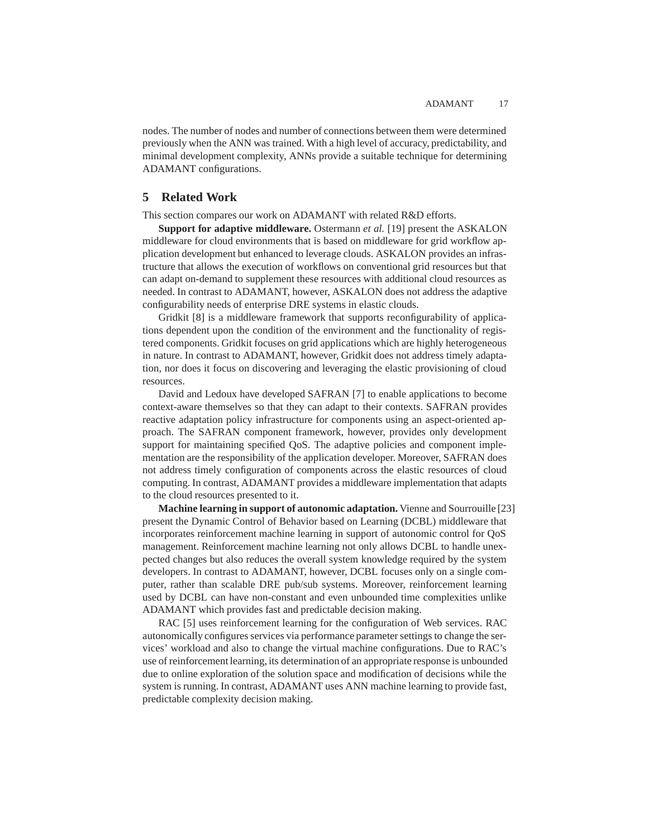nodes. The number of nodes and number of connections between them were determined previously when the ANN was trained. With a high level of accuracy, predictability, and minimal development complexity, ANNs provide a suitable technique for determining ADAMANT configurations.

# **5 Related Work**

This section compares our work on ADAMANT with related R&D efforts.

**Support for adaptive middleware.** Ostermann *et al.* [19] present the ASKALON middleware for cloud environments that is based on middleware for grid workflow application development but enhanced to leverage clouds. ASKALON provides an infrastructure that allows the execution of workflows on conventional grid resources but that can adapt on-demand to supplement these resources with additional cloud resources as needed. In contrast to ADAMANT, however, ASKALON does not address the adaptive configurability needs of enterprise DRE systems in elastic clouds.

Gridkit [8] is a middleware framework that supports reconfigurability of applications dependent upon the condition of the environment and the functionality of registered components. Gridkit focuses on grid applications which are highly heterogeneous in nature. In contrast to ADAMANT, however, Gridkit does not address timely adaptation, nor does it focus on discovering and leveraging the elastic provisioning of cloud resources.

David and Ledoux have developed SAFRAN [7] to enable applications to become context-aware themselves so that they can adapt to their contexts. SAFRAN provides reactive adaptation policy infrastructure for components using an aspect-oriented approach. The SAFRAN component framework, however, provides only development support for maintaining specified QoS. The adaptive policies and component implementation are the responsibility of the application developer. Moreover, SAFRAN does not address timely configuration of components across the elastic resources of cloud computing. In contrast, ADAMANT provides a middleware implementation that adapts to the cloud resources presented to it.

**Machine learning in support of autonomic adaptation.** Vienne and Sourrouille [23] present the Dynamic Control of Behavior based on Learning (DCBL) middleware that incorporates reinforcement machine learning in support of autonomic control for QoS management. Reinforcement machine learning not only allows DCBL to handle unexpected changes but also reduces the overall system knowledge required by the system developers. In contrast to ADAMANT, however, DCBL focuses only on a single computer, rather than scalable DRE pub/sub systems. Moreover, reinforcement learning used by DCBL can have non-constant and even unbounded time complexities unlike ADAMANT which provides fast and predictable decision making.

RAC [5] uses reinforcement learning for the configuration of Web services. RAC autonomically configures services via performance parameter settings to change the services' workload and also to change the virtual machine configurations. Due to RAC's use of reinforcement learning, its determination of an appropriate response is unbounded due to online exploration of the solution space and modification of decisions while the system is running. In contrast, ADAMANT uses ANN machine learning to provide fast, predictable complexity decision making.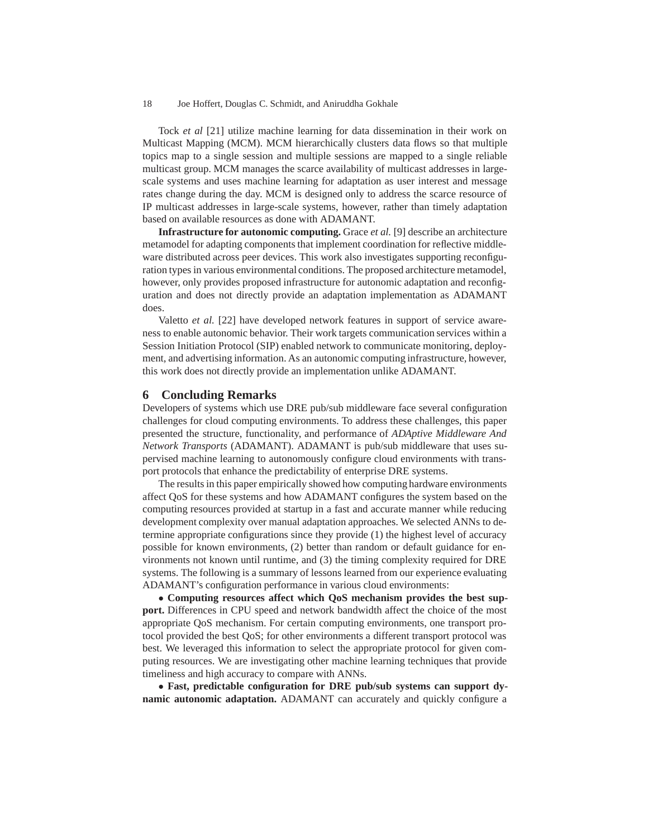Tock *et al* [21] utilize machine learning for data dissemination in their work on Multicast Mapping (MCM). MCM hierarchically clusters data flows so that multiple topics map to a single session and multiple sessions are mapped to a single reliable multicast group. MCM manages the scarce availability of multicast addresses in largescale systems and uses machine learning for adaptation as user interest and message rates change during the day. MCM is designed only to address the scarce resource of IP multicast addresses in large-scale systems, however, rather than timely adaptation based on available resources as done with ADAMANT.

**Infrastructure for autonomic computing.** Grace *et al.* [9] describe an architecture metamodel for adapting components that implement coordination for reflective middleware distributed across peer devices. This work also investigates supporting reconfiguration types in various environmental conditions. The proposed architecture metamodel, however, only provides proposed infrastructure for autonomic adaptation and reconfiguration and does not directly provide an adaptation implementation as ADAMANT does.

Valetto *et al.* [22] have developed network features in support of service awareness to enable autonomic behavior. Their work targets communication services within a Session Initiation Protocol (SIP) enabled network to communicate monitoring, deployment, and advertising information. As an autonomic computing infrastructure, however, this work does not directly provide an implementation unlike ADAMANT.

## **6 Concluding Remarks**

Developers of systems which use DRE pub/sub middleware face several configuration challenges for cloud computing environments. To address these challenges, this paper presented the structure, functionality, and performance of *ADAptive Middleware And Network Transports* (ADAMANT). ADAMANT is pub/sub middleware that uses supervised machine learning to autonomously configure cloud environments with transport protocols that enhance the predictability of enterprise DRE systems.

The results in this paper empirically showed how computing hardware environments affect QoS for these systems and how ADAMANT configures the system based on the computing resources provided at startup in a fast and accurate manner while reducing development complexity over manual adaptation approaches. We selected ANNs to determine appropriate configurations since they provide (1) the highest level of accuracy possible for known environments, (2) better than random or default guidance for environments not known until runtime, and (3) the timing complexity required for DRE systems. The following is a summary of lessons learned from our experience evaluating ADAMANT's configuration performance in various cloud environments:

• **Computing resources affect which QoS mechanism provides the best support.** Differences in CPU speed and network bandwidth affect the choice of the most appropriate QoS mechanism. For certain computing environments, one transport protocol provided the best QoS; for other environments a different transport protocol was best. We leveraged this information to select the appropriate protocol for given computing resources. We are investigating other machine learning techniques that provide timeliness and high accuracy to compare with ANNs.

• **Fast, predictable configuration for DRE pub/sub systems can support dynamic autonomic adaptation.** ADAMANT can accurately and quickly configure a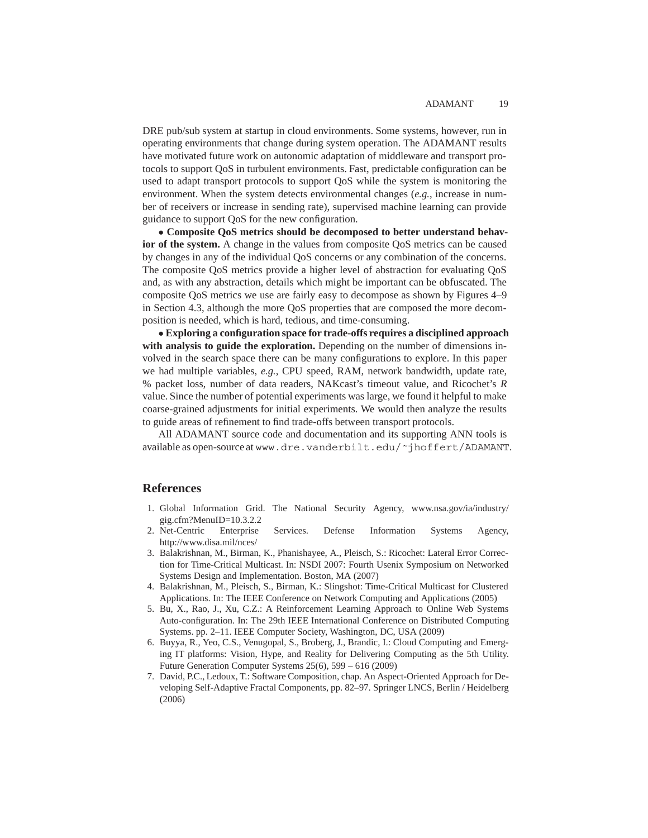DRE pub/sub system at startup in cloud environments. Some systems, however, run in operating environments that change during system operation. The ADAMANT results have motivated future work on autonomic adaptation of middleware and transport protocols to support QoS in turbulent environments. Fast, predictable configuration can be used to adapt transport protocols to support QoS while the system is monitoring the environment. When the system detects environmental changes (*e.g.*, increase in number of receivers or increase in sending rate), supervised machine learning can provide guidance to support QoS for the new configuration.

• **Composite QoS metrics should be decomposed to better understand behavior of the system.** A change in the values from composite QoS metrics can be caused by changes in any of the individual QoS concerns or any combination of the concerns. The composite QoS metrics provide a higher level of abstraction for evaluating QoS and, as with any abstraction, details which might be important can be obfuscated. The composite QoS metrics we use are fairly easy to decompose as shown by Figures 4–9 in Section 4.3, although the more QoS properties that are composed the more decomposition is needed, which is hard, tedious, and time-consuming.

• **Exploring a configuration space for trade-offs requires a disciplined approach with analysis to guide the exploration.** Depending on the number of dimensions involved in the search space there can be many configurations to explore. In this paper we had multiple variables, *e.g.*, CPU speed, RAM, network bandwidth, update rate, % packet loss, number of data readers, NAKcast's timeout value, and Ricochet's *R* value. Since the number of potential experiments was large, we found it helpful to make coarse-grained adjustments for initial experiments. We would then analyze the results to guide areas of refinement to find trade-offs between transport protocols.

All ADAMANT source code and documentation and its supporting ANN tools is available as open-source at www.dre.vanderbilt.edu/˜jhoffert/ADAMANT.

# **References**

- 1. Global Information Grid. The National Security Agency, www.nsa.gov/ia/industry/ gig.cfm?MenuID=10.3.2.2
- 2. Net-Centric Enterprise Services. Defense Information Systems Agency, http://www.disa.mil/nces/
- 3. Balakrishnan, M., Birman, K., Phanishayee, A., Pleisch, S.: Ricochet: Lateral Error Correction for Time-Critical Multicast. In: NSDI 2007: Fourth Usenix Symposium on Networked Systems Design and Implementation. Boston, MA (2007)
- 4. Balakrishnan, M., Pleisch, S., Birman, K.: Slingshot: Time-Critical Multicast for Clustered Applications. In: The IEEE Conference on Network Computing and Applications (2005)
- 5. Bu, X., Rao, J., Xu, C.Z.: A Reinforcement Learning Approach to Online Web Systems Auto-configuration. In: The 29th IEEE International Conference on Distributed Computing Systems. pp. 2–11. IEEE Computer Society, Washington, DC, USA (2009)
- 6. Buyya, R., Yeo, C.S., Venugopal, S., Broberg, J., Brandic, I.: Cloud Computing and Emerging IT platforms: Vision, Hype, and Reality for Delivering Computing as the 5th Utility. Future Generation Computer Systems 25(6), 599 – 616 (2009)
- 7. David, P.C., Ledoux, T.: Software Composition, chap. An Aspect-Oriented Approach for Developing Self-Adaptive Fractal Components, pp. 82–97. Springer LNCS, Berlin / Heidelberg (2006)